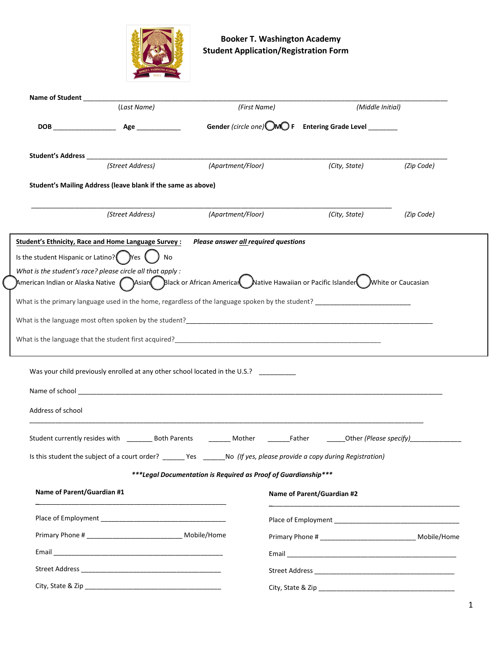

|                   | (Last Name)                                                                                                                                                     | (First Name)                                           |                            | (Middle Initial)                                       |                                                                |  |
|-------------------|-----------------------------------------------------------------------------------------------------------------------------------------------------------------|--------------------------------------------------------|----------------------------|--------------------------------------------------------|----------------------------------------------------------------|--|
|                   |                                                                                                                                                                 | Gender (circle one) OMO F Entering Grade Level _______ |                            |                                                        |                                                                |  |
|                   |                                                                                                                                                                 |                                                        |                            |                                                        |                                                                |  |
|                   | (Street Address)                                                                                                                                                | (Apartment/Floor)                                      |                            | (City, State)                                          | (Zip Code)                                                     |  |
|                   | Student's Mailing Address (leave blank if the same as above)                                                                                                    |                                                        |                            |                                                        |                                                                |  |
|                   | (Street Address)                                                                                                                                                | (Apartment/Floor)                                      |                            | (City, State)                                          | (Zip Code)                                                     |  |
|                   | Student's Ethnicity, Race and Home Language Survey : Please answer <b>all required questions</b>                                                                |                                                        |                            |                                                        |                                                                |  |
|                   | Is the student Hispanic or Latino? $\bigcap_{k=1}^{\infty} P_k$ $\bigcap_{k=1}^{\infty} P_k$<br>No                                                              |                                                        |                            |                                                        |                                                                |  |
|                   | What is the student's race? please circle all that apply :                                                                                                      |                                                        |                            |                                                        |                                                                |  |
|                   | American Indian or Alaska Native $\bigcap$ Asian $\bigcap$ Black or African Americar $\bigcup$ Native Hawaiian or Pacific Islander $\bigcup$ White or Caucasian |                                                        |                            |                                                        |                                                                |  |
|                   |                                                                                                                                                                 |                                                        |                            |                                                        |                                                                |  |
|                   |                                                                                                                                                                 |                                                        |                            |                                                        |                                                                |  |
|                   |                                                                                                                                                                 |                                                        |                            |                                                        |                                                                |  |
|                   |                                                                                                                                                                 |                                                        |                            |                                                        |                                                                |  |
|                   |                                                                                                                                                                 |                                                        |                            |                                                        |                                                                |  |
|                   |                                                                                                                                                                 |                                                        |                            |                                                        |                                                                |  |
|                   | Was your child previously enrolled at any other school located in the U.S.? _________                                                                           |                                                        |                            |                                                        |                                                                |  |
|                   |                                                                                                                                                                 |                                                        |                            |                                                        |                                                                |  |
|                   |                                                                                                                                                                 |                                                        |                            |                                                        |                                                                |  |
| Address of school |                                                                                                                                                                 |                                                        |                            |                                                        |                                                                |  |
|                   |                                                                                                                                                                 |                                                        |                            |                                                        |                                                                |  |
|                   |                                                                                                                                                                 |                                                        |                            |                                                        |                                                                |  |
|                   | Is this student the subject of a court order? ______ Yes ______                                                                                                 |                                                        |                            | No (If yes, please provide a copy during Registration) |                                                                |  |
|                   |                                                                                                                                                                 |                                                        |                            |                                                        |                                                                |  |
|                   | ***Legal Documentation is Required as Proof of Guardianship***                                                                                                  |                                                        |                            |                                                        |                                                                |  |
|                   | Name of Parent/Guardian #1                                                                                                                                      |                                                        | Name of Parent/Guardian #2 |                                                        |                                                                |  |
|                   |                                                                                                                                                                 |                                                        |                            |                                                        |                                                                |  |
|                   | Primary Phone # ________________________________ Mobile/Home                                                                                                    |                                                        |                            |                                                        | Primary Phone # __________________________________ Mobile/Home |  |
|                   |                                                                                                                                                                 |                                                        |                            |                                                        |                                                                |  |
|                   |                                                                                                                                                                 |                                                        |                            |                                                        |                                                                |  |
|                   |                                                                                                                                                                 |                                                        |                            |                                                        |                                                                |  |
|                   |                                                                                                                                                                 |                                                        |                            |                                                        |                                                                |  |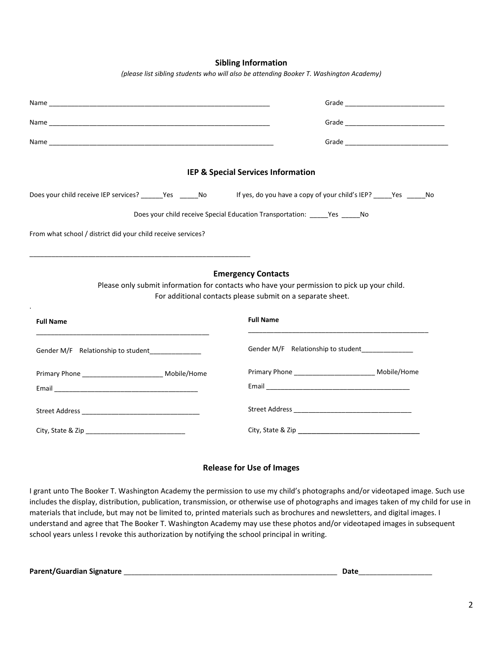**Sibling Information** *(please list sibling students who will also be attending Booker T. Washington Academy)*

| IEP & Special Services Information                                         |                                                                                                                                                                                        |  |  |  |  |  |  |  |
|----------------------------------------------------------------------------|----------------------------------------------------------------------------------------------------------------------------------------------------------------------------------------|--|--|--|--|--|--|--|
| Does your child receive IEP services? _______Yes _______No                 | If yes, do you have a copy of your child's IEP? ______ Yes ______ No                                                                                                                   |  |  |  |  |  |  |  |
| Does your child receive Special Education Transportation: _____Yes _____No |                                                                                                                                                                                        |  |  |  |  |  |  |  |
| From what school / district did your child receive services?               |                                                                                                                                                                                        |  |  |  |  |  |  |  |
|                                                                            | <b>Emergency Contacts</b><br>Please only submit information for contacts who have your permission to pick up your child.<br>For additional contacts please submit on a separate sheet. |  |  |  |  |  |  |  |
| <b>Full Name</b>                                                           | <b>Full Name</b>                                                                                                                                                                       |  |  |  |  |  |  |  |
| Gender M/F Relationship to student <b>Exercise 2.1</b>                     | Gender M/F Relationship to student <b>COVID-100</b>                                                                                                                                    |  |  |  |  |  |  |  |
| Primary Phone ___________________________ Mobile/Home                      | Primary Phone ____________________________ Mobile/Home                                                                                                                                 |  |  |  |  |  |  |  |
|                                                                            |                                                                                                                                                                                        |  |  |  |  |  |  |  |
|                                                                            |                                                                                                                                                                                        |  |  |  |  |  |  |  |
|                                                                            |                                                                                                                                                                                        |  |  |  |  |  |  |  |

## **Release for Use of Images**

I grant unto The Booker T. Washington Academy the permission to use my child's photographs and/or videotaped image. Such use includes the display, distribution, publication, transmission, or otherwise use of photographs and images taken of my child for use in materials that include, but may not be limited to, printed materials such as brochures and newsletters, and digital images. I understand and agree that The Booker T. Washington Academy may use these photos and/or videotaped images in subsequent school years unless I revoke this authorization by notifying the school principal in writing.

**Parent/Guardian Signature** \_\_\_\_\_\_\_\_\_\_\_\_\_\_\_\_\_\_\_\_\_\_\_\_\_\_\_\_\_\_\_\_\_\_\_\_\_\_\_\_\_\_\_\_\_\_\_\_\_\_\_\_\_\_\_\_\_\_ **Date**\_\_\_\_\_\_\_\_\_\_\_\_\_\_\_\_\_\_\_\_